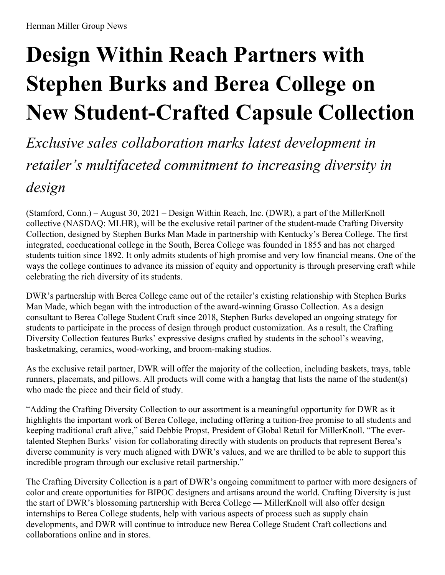# **Design Within Reach Partners with Stephen Burks and Berea College on New Student-Crafted Capsule Collection**

*Exclusive sales collaboration marks latest development in retailer ' s multifaceted commitment to increasing diversity in design*

(Stamford, Conn.) – August 30, 2021 – Design Within Reach, Inc. (DWR), a part of the MillerKnoll collective (NASDAQ: MLHR), will be the exclusive retail partner of the student-made Crafting Diversity Collection, designed by Stephen Burks Man Made in partnership with Kentucky's Berea College. The first integrated, coeducational college in the South, Berea College was founded in 1855 and has not charged students tuition since 1892. It only admits students of high promise and very low financial means. One of the ways the college continues to advance its mission of equity and opportunity is through preserving craft while celebrating the rich diversity of its students.

DWR's partnership with Berea College came out of the retailer's existing relationship with Stephen Burks Man Made, which began with the introduction of the award-winning Grasso Collection. As a design consultant to Berea College Student Craft since 2018, Stephen Burks developed an ongoing strategy for students to participate in the process of design through product customization. As a result, the Crafting Diversity Collection features Burks' expressive designs crafted by students in the school's weaving, basketmaking, ceramics, wood-working, and broom-making studios.

As the exclusive retail partner, DWR will offer the majority of the collection, including baskets, trays, table runners, placemats, and pillows. All products will come with a hangtag that lists the name of the student(s) who made the piece and their field of study.

"Adding the Crafting Diversity Collection to our assortment is a meaningful opportunity for DWR as it highlights the important work of Berea College, including offering a tuition-free promise to all students and keeping traditional craft alive," said Debbie Propst, President of Global Retail for MillerKnoll. "The evertalented Stephen Burks' vision for collaborating directly with students on products that represent Berea's diverse community is very much aligned with DWR's values, and we are thrilled to be able to support this incredible program through our exclusive retail partnership."

The Crafting Diversity Collection is a part of DWR's ongoing commitment to partner with more designers of color and create opportunities for BIPOC designers and artisans around the world. Crafting Diversity is just the start of DWR's blossoming partnership with Berea College — MillerKnoll will also offer design internships to Berea College students, help with various aspects of process such as supply chain developments, and DWR will continue to introduce new Berea College Student Craft collections and collaborations online and in stores.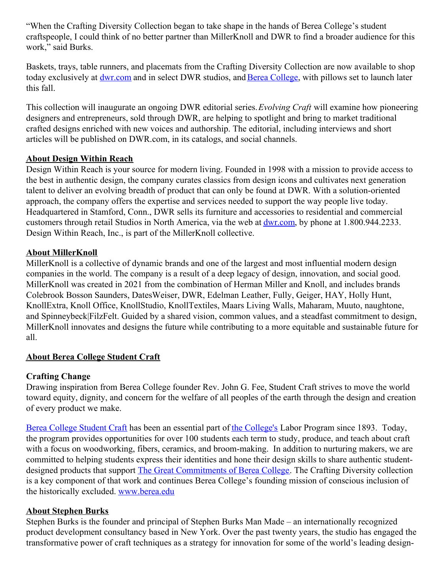"When the Crafting Diversity Collection began to take shape in the hands of Berea College's student craftspeople, I could think of no better partner than MillerKnoll and DWR to find a broader audience for this work," said Burks.

Baskets, trays, table runners, and placemats from the Crafting Diversity Collection are now available to shop today exclusively at [dwr.com](https://www.dwr.com/brands-berea-college?__siteDate=202109191111) and in select DWR studios, and Berea [College](https://www.berea.edu/), with pillows set to launch later this fall.

This collection will inaugurate an ongoing DWR editorial series.*Evolving Craft* will examine how pioneering designers and entrepreneurs, sold through DWR, are helping to spotlight and bring to market traditional crafted designs enriched with new voices and authorship. The editorial, including interviews and short articles will be published on DWR.com, in its catalogs, and social channels.

#### **About Design Within Reach**

Design Within Reach is your source for modern living. Founded in 1998 with a mission to provide access to the best in authentic design, the company curates classics from design icons and cultivates next generation talent to deliver an evolving breadth of product that can only be found at DWR. With a solution-oriented approach, the company offers the expertise and services needed to support the way people live today. Headquartered in Stamford, Conn., DWR sells its furniture and accessories to residential and commercial customers through retail Studios in North America, via the web at [dwr.com](https://www.dwr.com/), by phone at 1.800.944.2233. Design Within Reach, Inc., is part of the MillerKnoll collective.

#### **About MillerKnoll**

MillerKnoll is a collective of dynamic brands and one of the largest and most influential modern design companies in the world. The company is a result of a deep legacy of design, innovation, and social good. MillerKnoll was created in 2021 from the combination of Herman Miller and Knoll, and includes brands Colebrook Bosson Saunders, DatesWeiser, DWR, Edelman Leather, Fully, Geiger, HAY, Holly Hunt, KnollExtra, Knoll Office, KnollStudio, KnollTextiles, Maars Living Walls, Maharam, Muuto, naughtone, and Spinneybeck|FilzFelt. Guided by a shared vision, common values, and a steadfast commitment to design, MillerKnoll innovates and designs the future while contributing to a more equitable and sustainable future for all.

## **About Berea College Student Craft**

## **Crafting Change**

Drawing inspiration from Berea College founder Rev. John G. Fee, Student Craft strives to move the world toward equity, dignity, and concern for the welfare of all peoples of the earth through the design and creation of every product we make.

Berea [College](https://bcstudentcraft.com/) Student Craft has been an essential part of the [College's](https://www.berea.edu/) Labor Program since 1893. Today, the program provides opportunities for over 100 students each term to study, produce, and teach about craft with a focus on woodworking, fibers, ceramics, and broom-making. In addition to nurturing makers, we are committed to helping students express their identities and hone their design skills to share authentic studentdesigned products that support The Great [Commitments](https://www.berea.edu/the-great-commitments/) of Berea College. The Crafting Diversity collection is a key component of that work and continues Berea College's founding mission of conscious inclusion of the historically excluded. [www.berea.edu](https://www.berea.edu/)

## **About Stephen Burks**

Stephen Burks is the founder and principal of Stephen Burks Man Made – an internationally recognized product development consultancy based in New York. Over the past twenty years, the studio has engaged the transformative power of craft techniques as a strategy for innovation for some of the world's leading design